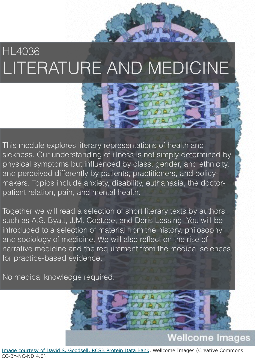### HL4036 LITERATURE AND MEDICINE

This module explores literary representations of health and sickness. Our understanding of illness is not simply determined by physical symptoms but influenced by class, gender, and ethnicity, and perceived differently by patients, practitioners, and policymakers. Topics include anxiety, disability, euthanasia, the doctorpatient relation, pain, and mental health.

Together we will read a selection of short literary texts by authors such as A.S. Byatt, J.M. Coetzee, and Doris Lessing. You will be introduced to a selection of material from the history, philosophy and sociology of medicine. We will also reflect on the rise of narrative medicine and the requirement from the medical sciences for practice-based evidence.

No medical knowledge required.



Image courtesy of [David S. Goodsell, RCSB Protein Data Bank,](http://wellcomeimages.org/indexplus/result.html?wi_credit_line%3atext=%22David%20S.%20Goodsell%2c%20RCSB%20Protein%20Data%20Bank%22&%24%3dsort=sort%20sortexpr%20image_sort&%2asform=wellcome-images&_IXACTION_=query&_IXFIRST_=1&_IXSPFX_=templates%2fb&_IXFPFX_=templates%2ft&%24%20with%20image_sort=.) Wellcome Images (Creative Commons CC-BY-NC-ND 4.0)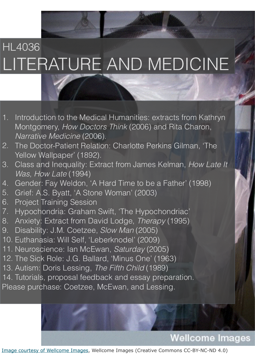# HL4036 LITERATURE AND MEDICINE

- 1. Introduction to the Medical Humanities: extracts from Kathryn Montgomery, *How Doctors Think* (2006) and Rita Charon, *Narrative Medicine* (2006).
- 2. The Doctor-Patient Relation: Charlotte Perkins Gilman, 'The Yellow Wallpaper' (1892).
- 3. Class and Inequality: Extract from James Kelman, *How Late It Was, How Late* (1994)
- 4. Gender: Fay Weldon, 'A Hard Time to be a Father' (1998)
- 5. Grief: A.S. Byatt, 'A Stone Woman' (2003)
- 6. Project Training Session
- 7. Hypochondria: Graham Swift, 'The Hypochondriac'
- 8. Anxiety: Extract from David Lodge, *Therapy* (1995)
- 9. Disability: J.M. Coetzee, *Slow Man* (2005)
- 10. Euthanasia: Will Self, 'Leberknodel' (2009)
- 11. Neuroscience: Ian McEwan, *Saturday* (2005)
- 12. The Sick Role: J.G. Ballard, 'Minus One' (1963)
- 13. Autism: Doris Lessing, *The Fifth Child* (1989)
- 14. Tutorials, proposal feedback and essay preparation.
- Please purchase: Coetzee, McEwan, and Lessing.

#### **Wellcome Images**

Image courtesy of [Wellcome Images](http://wellcomeimages.org/indexplus/result.html?wi_credit_line%3atext=%22Wellcome%20Images%22&%24%3dsort=sort%20sortexpr%20image_sort&%2asform=wellcome-images&_IXACTION_=query&_IXFIRST_=1&_IXSPFX_=templates%2fb&_IXFPFX_=templates%2ft&%24%20with%20image_sort=.), Wellcome Images (Creative Commons CC-BY-NC-ND 4.0)